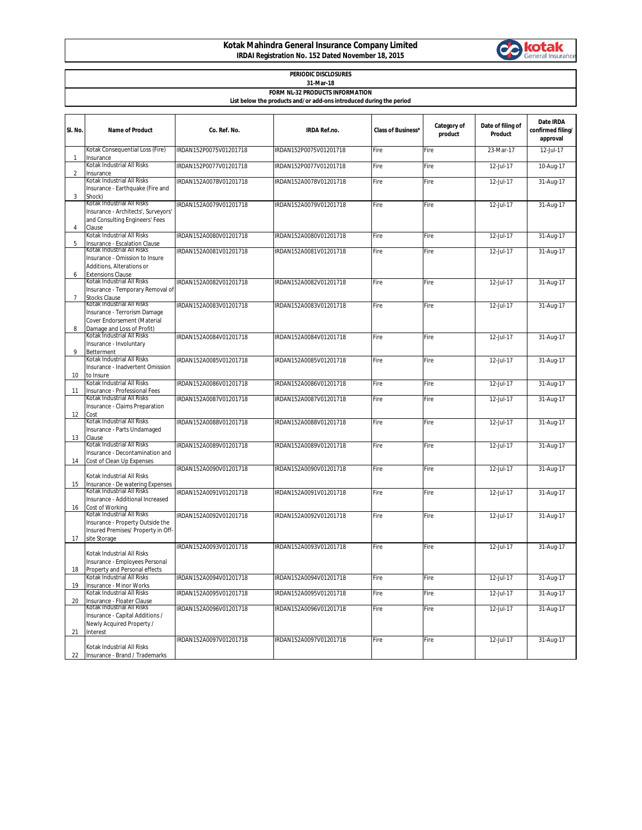## **Kotak Mahindra General Insurance Company Limited IRDAI Registration No. 152 Dated November 18, 2015**



| PERIODIC DISCLOSURES<br>31-Mar-18                                   |                                                                                                                                      |                        |                        |                           |                        |                              |                                            |  |  |  |  |  |
|---------------------------------------------------------------------|--------------------------------------------------------------------------------------------------------------------------------------|------------------------|------------------------|---------------------------|------------------------|------------------------------|--------------------------------------------|--|--|--|--|--|
| FORM NL-32 PRODUCTS INFORMATION                                     |                                                                                                                                      |                        |                        |                           |                        |                              |                                            |  |  |  |  |  |
| List below the products and/or add-ons introduced during the period |                                                                                                                                      |                        |                        |                           |                        |                              |                                            |  |  |  |  |  |
|                                                                     |                                                                                                                                      |                        |                        |                           |                        |                              |                                            |  |  |  |  |  |
| SI. No.                                                             | <b>Name of Product</b>                                                                                                               | Co. Ref. No.           | <b>IRDA Ref.no.</b>    | <b>Class of Business*</b> | Category of<br>product | Date of filing of<br>Product | Date IRDA<br>confirmed filing/<br>approval |  |  |  |  |  |
| 1                                                                   | Kotak Consequential Loss (Fire)<br>Insurance                                                                                         | IRDAN152P0075V01201718 | IRDAN152P0075V01201718 | Fire                      | Fire                   | 23-Mar-17                    | 12-Jul-17                                  |  |  |  |  |  |
| $\overline{2}$                                                      | Kotak Industrial All Risks<br>Insurance                                                                                              | IRDAN152P0077V01201718 | IRDAN152P0077V01201718 | Fire                      | Fire                   | 12-Jul-17                    | 10-Aug-17                                  |  |  |  |  |  |
| 3                                                                   | Kotak Industrial All Risks<br>Insurance - Earthquake (Fire and<br>Shock)                                                             | IRDAN152A0078V01201718 | IRDAN152A0078V01201718 | Fire                      | Fire                   | 12-Jul-17                    | 31-Aug-17                                  |  |  |  |  |  |
| $\overline{4}$                                                      | Kotak Industrial All Risks<br>Insurance - Architects', Surveyors'<br>and Consulting Engineers' Fees<br>Clause                        | IRDAN152A0079V01201718 | IRDAN152A0079V01201718 | Fire                      | Fire                   | 12-Jul-17                    | 31-Aug-17                                  |  |  |  |  |  |
| 5                                                                   | Kotak Industrial All Risks<br>Insurance - Escalation Clause                                                                          | IRDAN152A0080V01201718 | IRDAN152A0080V01201718 | Fire                      | Fire                   | 12-Jul-17                    | 31-Aug-17                                  |  |  |  |  |  |
|                                                                     | Kotak Industrial All Risks<br>Insurance - Omission to Insure<br>Additions, Alterations or                                            | IRDAN152A0081V01201718 | IRDAN152A0081V01201718 | Fire                      | Fire                   | 12-Jul-17                    | 31-Aug-17                                  |  |  |  |  |  |
| 6<br>$\overline{7}$                                                 | <b>Extensions Clause</b><br>Kotak Industrial All Risks<br>Insurance - Temporary Removal of<br><b>Stocks Clause</b>                   | IRDAN152A0082V01201718 | IRDAN152A0082V01201718 | Fire                      | Fire                   | 12-Jul-17                    | 31-Aug-17                                  |  |  |  |  |  |
| 8                                                                   | Kotak Industrial All Risks<br>Insurance - Terrorism Damage<br>Cover Endorsement (Material<br>Damage and Loss of Profit)              | IRDAN152A0083V01201718 | IRDAN152A0083V01201718 | Fire                      | Fire                   | 12-Jul-17                    | 31-Aug-17                                  |  |  |  |  |  |
| 9                                                                   | Kotak Industrial All Risks<br>Insurance - Involuntary<br>Betterment                                                                  | IRDAN152A0084V01201718 | IRDAN152A0084V01201718 | Fire                      | Fire                   | 12-Jul-17                    | 31-Aug-17                                  |  |  |  |  |  |
| 10                                                                  | Kotak Industrial All Risks<br>Insurance - Inadvertent Omission<br>to Insure                                                          | IRDAN152A0085V01201718 | IRDAN152A0085V01201718 | Fire                      | Fire                   | 12-Jul-17                    | 31-Aug-17                                  |  |  |  |  |  |
| 11                                                                  | Kotak Industrial All Risks<br>Insurance - Professional Fees                                                                          | IRDAN152A0086V01201718 | IRDAN152A0086V01201718 | Fire                      | Fire                   | 12-Jul-17                    | 31-Aug-17                                  |  |  |  |  |  |
| 12                                                                  | Kotak Industrial All Risks<br>Insurance - Claims Preparation<br>Cost                                                                 | IRDAN152A0087V01201718 | IRDAN152A0087V01201718 | Fire                      | Fire                   | $\overline{12}$ -Jul-17      | 31-Aug-17                                  |  |  |  |  |  |
| 13                                                                  | Kotak Industrial All Risks<br>Insurance - Parts Undamaged<br>Clause                                                                  | IRDAN152A0088V01201718 | IRDAN152A0088V01201718 | Fire                      | Fire                   | 12-Jul-17                    | 31-Aug-17                                  |  |  |  |  |  |
| 14                                                                  | Kotak Industrial All Risks<br>Insurance - Decontamination and<br>Cost of Clean Up Expenses                                           | IRDAN152A0089V01201718 | IRDAN152A0089V01201718 | Fire                      | Fire                   | 12-Jul-17                    | 31-Aug-17                                  |  |  |  |  |  |
| 15                                                                  | Kotak Industrial All Risks<br>Insurance - De watering Expenses                                                                       | IRDAN152A0090V01201718 | IRDAN152A0090V01201718 | Fire                      | Fire                   | 12-Jul-17                    | 31-Aug-17                                  |  |  |  |  |  |
| 16                                                                  | Kotak Industrial All Risks<br>Insurance - Additional Increased<br>Cost of Working                                                    | IRDAN152A0091V01201718 | IRDAN152A0091V01201718 | Fire                      | Fire                   | 12-Jul-17                    | 31-Aug-17                                  |  |  |  |  |  |
| 17                                                                  | Kotak Industrial All Risks<br>Insurance - Property Outside the<br>Insured Premises/ Property in Off-<br>site Storage                 | IRDAN152A0092V01201718 | IRDAN152A0092V01201718 | Fire                      | Fire                   | 12-Jul-17                    | 31-Aug-17                                  |  |  |  |  |  |
| 18                                                                  | Kotak Industrial All Risks<br>Insurance - Employees Personal<br>Property and Personal effects                                        | IRDAN152A0093V01201718 | IRDAN152A0093V01201718 | Fire                      | Fire                   | 12-Jul-17                    | 31-Aug-17                                  |  |  |  |  |  |
| 19                                                                  | Kotak Industrial All Risks<br>Insurance - Minor Works                                                                                | IRDAN152A0094V01201718 | IRDAN152A0094V01201718 | Fire                      | Fire                   | 12-Jul-17                    | 31-Aug-17                                  |  |  |  |  |  |
| 20                                                                  | Kotak Industrial All Risks                                                                                                           | IRDAN152A0095V01201718 | IRDAN152A0095V01201718 | Fire                      | Fire                   | 12-Jul-17                    | 31-Aug-17                                  |  |  |  |  |  |
| 21                                                                  | Insurance - Floater Clause<br>Kotak Industrial All Risks<br>Insurance - Capital Additions /<br>Newly Acquired Property /<br>Interest | IRDAN152A0096V01201718 | IRDAN152A0096V01201718 | Fire                      | Fire                   | 12-Jul-17                    | 31-Aug-17                                  |  |  |  |  |  |
| 22                                                                  | Kotak Industrial All Risks<br>Insurance - Brand / Trademarks                                                                         | IRDAN152A0097V01201718 | IRDAN152A0097V01201718 | Fire                      | Fire                   | $12$ -Jul-17                 | 31-Aug-17                                  |  |  |  |  |  |